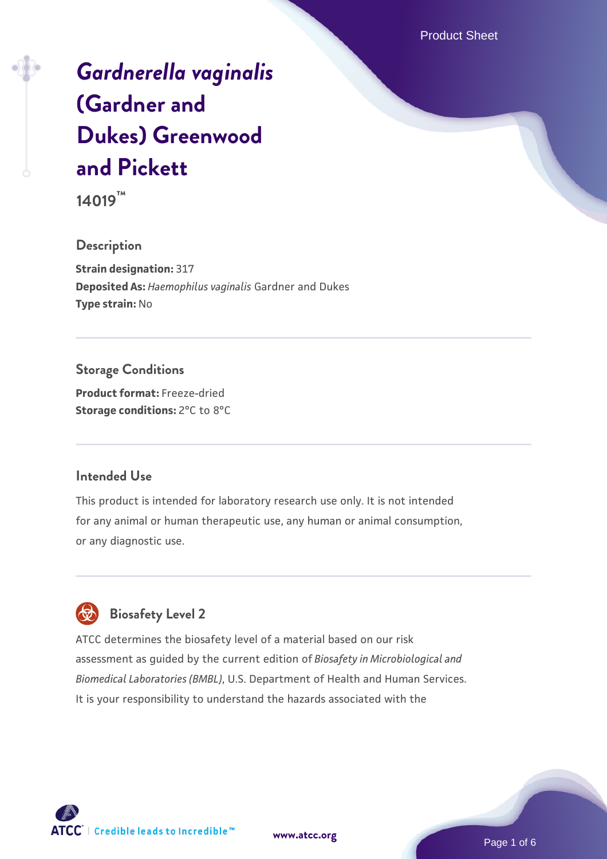Product Sheet

# *[Gardnerella vaginalis](https://www.atcc.org/products/14019)* **[\(Gardner and](https://www.atcc.org/products/14019) [Dukes\) Greenwood](https://www.atcc.org/products/14019) [and Pickett](https://www.atcc.org/products/14019)**

**14019™**

### **Description**

**Strain designation:** 317 **Deposited As:** *Haemophilus vaginalis* Gardner and Dukes **Type strain:** No

## **Storage Conditions**

**Product format:** Freeze-dried **Storage conditions:** 2°C to 8°C

#### **Intended Use**

This product is intended for laboratory research use only. It is not intended for any animal or human therapeutic use, any human or animal consumption, or any diagnostic use.



## **Biosafety Level 2**

ATCC determines the biosafety level of a material based on our risk assessment as guided by the current edition of *Biosafety in Microbiological and Biomedical Laboratories (BMBL)*, U.S. Department of Health and Human Services. It is your responsibility to understand the hazards associated with the

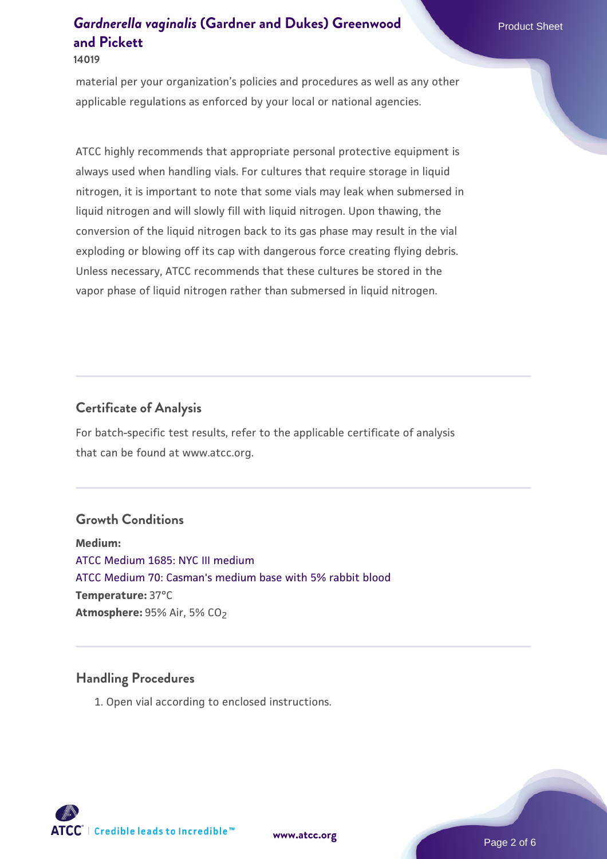#### **14019**

material per your organization's policies and procedures as well as any other applicable regulations as enforced by your local or national agencies.

ATCC highly recommends that appropriate personal protective equipment is always used when handling vials. For cultures that require storage in liquid nitrogen, it is important to note that some vials may leak when submersed in liquid nitrogen and will slowly fill with liquid nitrogen. Upon thawing, the conversion of the liquid nitrogen back to its gas phase may result in the vial exploding or blowing off its cap with dangerous force creating flying debris. Unless necessary, ATCC recommends that these cultures be stored in the vapor phase of liquid nitrogen rather than submersed in liquid nitrogen.

#### **Certificate of Analysis**

For batch-specific test results, refer to the applicable certificate of analysis that can be found at www.atcc.org.

#### **Growth Conditions**

**Medium:**  [ATCC Medium 1685: NYC III medium](https://www.atcc.org/-/media/product-assets/documents/microbial-media-formulations/e/3/1/6/8/5/atcc-medium-1685.pdf?rev=e075ccfc13264e019750e2d0975c7cd9) [ATCC Medium 70: Casman's medium base with 5% rabbit blood](https://www.atcc.org/-/media/product-assets/documents/microbial-media-formulations/7/0/atcc-medium-70.pdf?rev=767b4f4546b14a42bd334aad5df64a64) **Temperature:** 37°C **Atmosphere: 95% Air, 5% CO<sub>2</sub>** 

#### **Handling Procedures**

1. Open vial according to enclosed instructions.

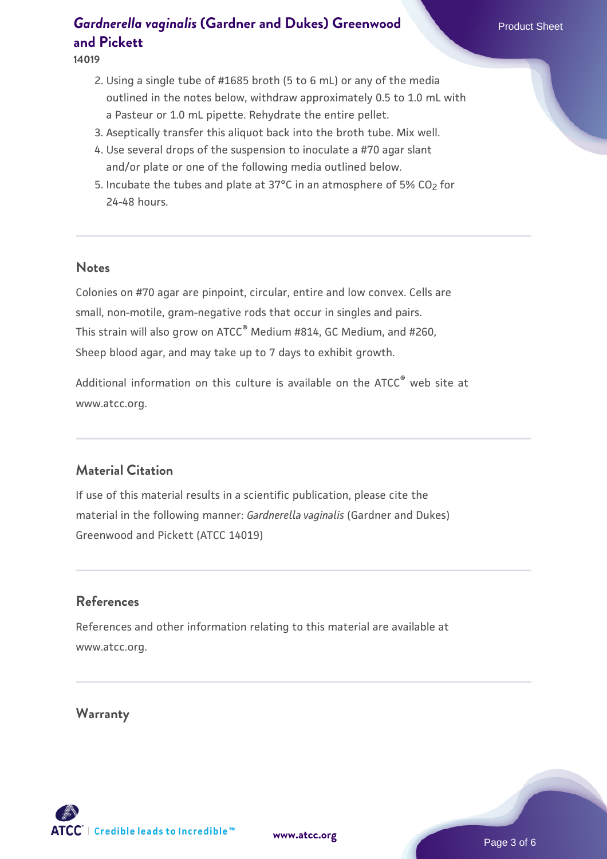#### **14019**

- 2. Using a single tube of #1685 broth (5 to 6 mL) or any of the media outlined in the notes below, withdraw approximately 0.5 to 1.0 mL with a Pasteur or 1.0 mL pipette. Rehydrate the entire pellet.
- 3. Aseptically transfer this aliquot back into the broth tube. Mix well.
- 4. Use several drops of the suspension to inoculate a #70 agar slant and/or plate or one of the following media outlined below.
- 5. Incubate the tubes and plate at 37°C in an atmosphere of 5% CO<sub>2</sub> for 24-48 hours.

#### **Notes**

Colonies on #70 agar are pinpoint, circular, entire and low convex. Cells are small, non-motile, gram-negative rods that occur in singles and pairs. This strain will also grow on ATCC® Medium #814, GC Medium, and #260, Sheep blood agar, and may take up to 7 days to exhibit growth.

Additional information on this culture is available on the ATCC<sup>®</sup> web site at www.atcc.org.

### **Material Citation**

If use of this material results in a scientific publication, please cite the material in the following manner: *Gardnerella vaginalis* (Gardner and Dukes) Greenwood and Pickett (ATCC 14019)

## **References**

References and other information relating to this material are available at www.atcc.org.

## **Warranty**

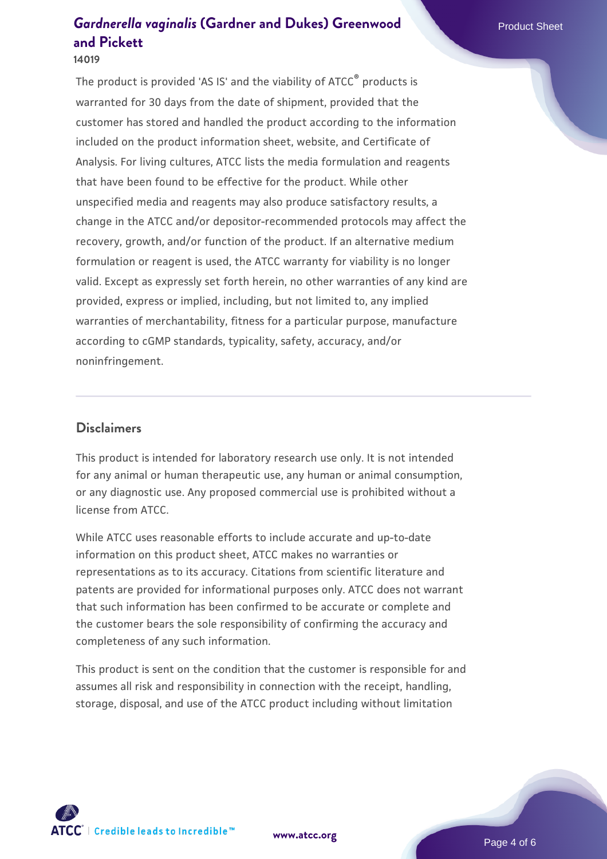#### **14019**

The product is provided 'AS IS' and the viability of ATCC® products is warranted for 30 days from the date of shipment, provided that the customer has stored and handled the product according to the information included on the product information sheet, website, and Certificate of Analysis. For living cultures, ATCC lists the media formulation and reagents that have been found to be effective for the product. While other unspecified media and reagents may also produce satisfactory results, a change in the ATCC and/or depositor-recommended protocols may affect the recovery, growth, and/or function of the product. If an alternative medium formulation or reagent is used, the ATCC warranty for viability is no longer valid. Except as expressly set forth herein, no other warranties of any kind are provided, express or implied, including, but not limited to, any implied warranties of merchantability, fitness for a particular purpose, manufacture according to cGMP standards, typicality, safety, accuracy, and/or noninfringement.

#### **Disclaimers**

This product is intended for laboratory research use only. It is not intended for any animal or human therapeutic use, any human or animal consumption, or any diagnostic use. Any proposed commercial use is prohibited without a license from ATCC.

While ATCC uses reasonable efforts to include accurate and up-to-date information on this product sheet, ATCC makes no warranties or representations as to its accuracy. Citations from scientific literature and patents are provided for informational purposes only. ATCC does not warrant that such information has been confirmed to be accurate or complete and the customer bears the sole responsibility of confirming the accuracy and completeness of any such information.

This product is sent on the condition that the customer is responsible for and assumes all risk and responsibility in connection with the receipt, handling, storage, disposal, and use of the ATCC product including without limitation

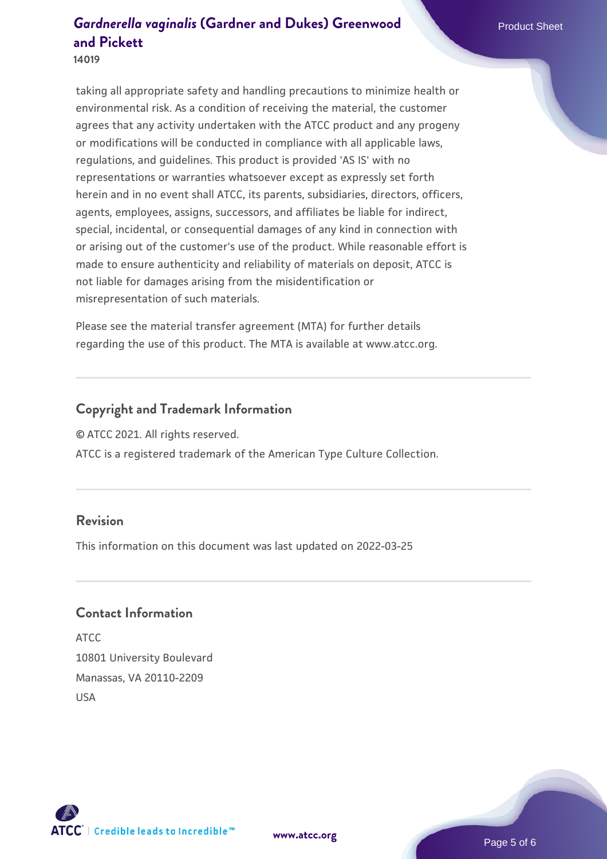#### **14019**

taking all appropriate safety and handling precautions to minimize health or environmental risk. As a condition of receiving the material, the customer agrees that any activity undertaken with the ATCC product and any progeny or modifications will be conducted in compliance with all applicable laws, regulations, and guidelines. This product is provided 'AS IS' with no representations or warranties whatsoever except as expressly set forth herein and in no event shall ATCC, its parents, subsidiaries, directors, officers, agents, employees, assigns, successors, and affiliates be liable for indirect, special, incidental, or consequential damages of any kind in connection with or arising out of the customer's use of the product. While reasonable effort is made to ensure authenticity and reliability of materials on deposit, ATCC is not liable for damages arising from the misidentification or misrepresentation of such materials.

Please see the material transfer agreement (MTA) for further details regarding the use of this product. The MTA is available at www.atcc.org.

#### **Copyright and Trademark Information**

© ATCC 2021. All rights reserved.

ATCC is a registered trademark of the American Type Culture Collection.

#### **Revision**

This information on this document was last updated on 2022-03-25

#### **Contact Information**

ATCC 10801 University Boulevard Manassas, VA 20110-2209 USA